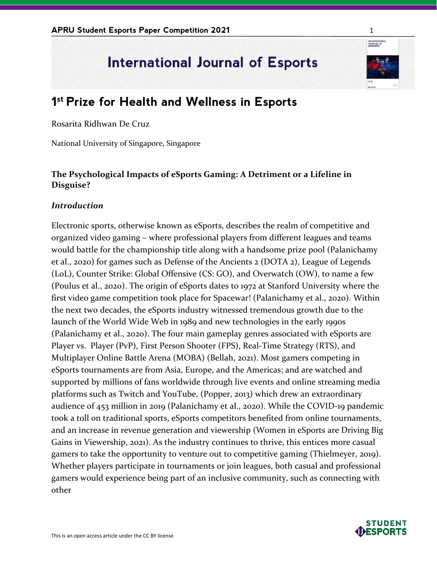# **International Journal of Esports**

# **1 st Prize for Health and Wellness in Esports**

Rosarita Ridhwan De Cruz

National University of Singapore, Singapore

## **The Psychological Impacts of eSports Gaming: A Detriment or a Lifeline in Disguise?**

#### *Introduction*

Electronic sports, otherwise known as eSports, describes the realm of competitive and organized video gaming – where professional players from different leagues and teams would battle for the championship title along with a handsome prize pool (Palanichamy et al., 2020) for games such as Defense of the Ancients 2 (DOTA 2), League of Legends (LoL), Counter Strike: Global Offensive (CS: GO), and Overwatch (OW), to name a few (Poulus et al., 2020). The origin of eSports dates to 1972 at Stanford University where the first video game competition took place for Spacewar! (Palanichamy et al., 2020). Within the next two decades, the eSports industry witnessed tremendous growth due to the launch of the World Wide Web in 1989 and new technologies in the early 1990s (Palanichamy et al., 2020). The four main gameplay genres associated with eSports are Player vs. Player (PvP), First Person Shooter (FPS), Real-Time Strategy (RTS), and Multiplayer Online Battle Arena (MOBA) (Bellah, 2021). Most gamers competing in eSports tournaments are from Asia, Europe, and the Americas; and are watched and supported by millions of fans worldwide through live events and online streaming media platforms such as Twitch and YouTube, (Popper, 2013) which drew an extraordinary audience of 453 million in 2019 (Palanichamy et al., 2020). While the COVID-19 pandemic took a toll on traditional sports, eSports competitors benefited from online tournaments, and an increase in revenue generation and viewership (Women in eSports are Driving Big Gains in Viewership, 2021). As the industry continues to thrive, this entices more casual gamers to take the opportunity to venture out to competitive gaming (Thielmeyer, 2019). Whether players participate in tournaments or join leagues, both casual and professional gamers would experience being part of an inclusive community, such as connecting with other

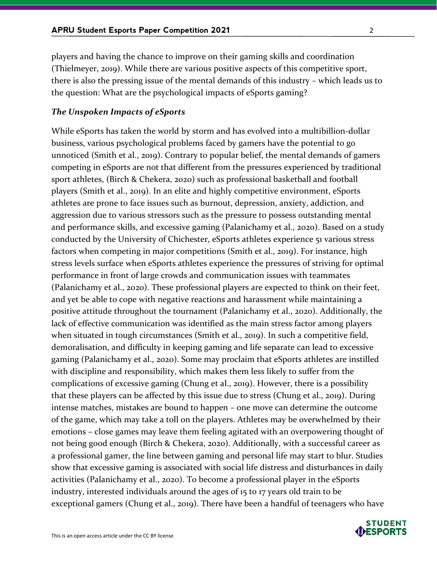players and having the chance to improve on their gaming skills and coordination (Thielmeyer, 2019). While there are various positive aspects of this competitive sport, there is also the pressing issue of the mental demands of this industry – which leads us to the question: What are the psychological impacts of eSports gaming?

#### *The Unspoken Impacts of eSports*

While eSports has taken the world by storm and has evolved into a multibillion-dollar business, various psychological problems faced by gamers have the potential to go unnoticed (Smith et al., 2019). Contrary to popular belief, the mental demands of gamers competing in eSports are not that different from the pressures experienced by traditional sport athletes, (Birch & Chekera, 2020) such as professional basketball and football players (Smith et al., 2019). In an elite and highly competitive environment, eSports athletes are prone to face issues such as burnout, depression, anxiety, addiction, and aggression due to various stressors such as the pressure to possess outstanding mental and performance skills, and excessive gaming (Palanichamy et al., 2020). Based on a study conducted by the University of Chichester, eSports athletes experience 51 various stress factors when competing in major competitions (Smith et al., 2019). For instance, high stress levels surface when eSports athletes experience the pressures of striving for optimal performance in front of large crowds and communication issues with teammates (Palanichamy et al., 2020). These professional players are expected to think on their feet, and yet be able to cope with negative reactions and harassment while maintaining a positive attitude throughout the tournament (Palanichamy et al., 2020). Additionally, the lack of effective communication was identified as the main stress factor among players when situated in tough circumstances (Smith et al., 2019). In such a competitive field, demoralisation, and difficulty in keeping gaming and life separate can lead to excessive gaming (Palanichamy et al., 2020). Some may proclaim that eSports athletes are instilled with discipline and responsibility, which makes them less likely to suffer from the complications of excessive gaming (Chung et al., 2019). However, there is a possibility that these players can be affected by this issue due to stress (Chung et al., 2019). During intense matches, mistakes are bound to happen – one move can determine the outcome of the game, which may take a toll on the players. Athletes may be overwhelmed by their emotions – close games may leave them feeling agitated with an overpowering thought of not being good enough (Birch & Chekera, 2020). Additionally, with a successful career as a professional gamer, the line between gaming and personal life may start to blur. Studies show that excessive gaming is associated with social life distress and disturbances in daily activities (Palanichamy et al., 2020). To become a professional player in the eSports industry, interested individuals around the ages of 15 to 17 years old train to be exceptional gamers (Chung et al., 2019). There have been a handful of teenagers who have

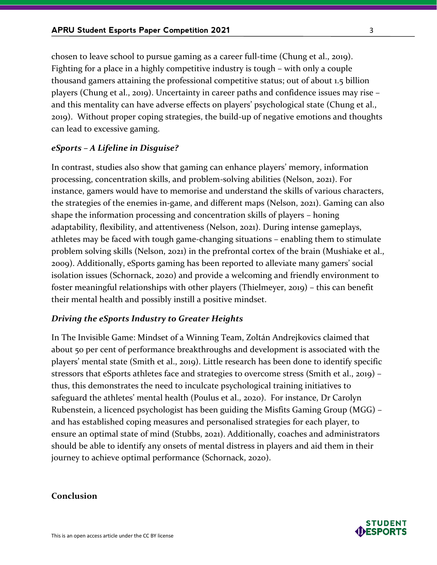chosen to leave school to pursue gaming as a career full-time (Chung et al., 2019). Fighting for a place in a highly competitive industry is tough – with only a couple thousand gamers attaining the professional competitive status; out of about 1.5 billion players (Chung et al., 2019). Uncertainty in career paths and confidence issues may rise – and this mentality can have adverse effects on players' psychological state (Chung et al., 2019). Without proper coping strategies, the build-up of negative emotions and thoughts can lead to excessive gaming.

#### *eSports – A Lifeline in Disguise?*

In contrast, studies also show that gaming can enhance players' memory, information processing, concentration skills, and problem-solving abilities (Nelson, 2021). For instance, gamers would have to memorise and understand the skills of various characters, the strategies of the enemies in-game, and different maps (Nelson, 2021). Gaming can also shape the information processing and concentration skills of players – honing adaptability, flexibility, and attentiveness (Nelson, 2021). During intense gameplays, athletes may be faced with tough game-changing situations – enabling them to stimulate problem solving skills (Nelson, 2021) in the prefrontal cortex of the brain (Mushiake et al., 2009). Additionally, eSports gaming has been reported to alleviate many gamers' social isolation issues (Schornack, 2020) and provide a welcoming and friendly environment to foster meaningful relationships with other players (Thielmeyer, 2019) – this can benefit their mental health and possibly instill a positive mindset.

#### *Driving the eSports Industry to Greater Heights*

In The Invisible Game: Mindset of a Winning Team, Zoltán Andrejkovics claimed that about 50 per cent of performance breakthroughs and development is associated with the players' mental state (Smith et al., 2019). Little research has been done to identify specific stressors that eSports athletes face and strategies to overcome stress (Smith et al., 2019) – thus, this demonstrates the need to inculcate psychological training initiatives to safeguard the athletes' mental health (Poulus et al., 2020). For instance, Dr Carolyn Rubenstein, a licenced psychologist has been guiding the Misfits Gaming Group (MGG) – and has established coping measures and personalised strategies for each player, to ensure an optimal state of mind (Stubbs, 2021). Additionally, coaches and administrators should be able to identify any onsets of mental distress in players and aid them in their journey to achieve optimal performance (Schornack, 2020).

#### **Conclusion**

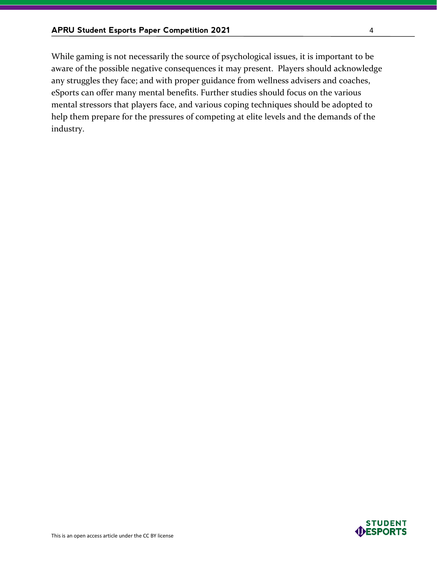While gaming is not necessarily the source of psychological issues, it is important to be aware of the possible negative consequences it may present. Players should acknowledge any struggles they face; and with proper guidance from wellness advisers and coaches, eSports can offer many mental benefits. Further studies should focus on the various mental stressors that players face, and various coping techniques should be adopted to help them prepare for the pressures of competing at elite levels and the demands of the industry.